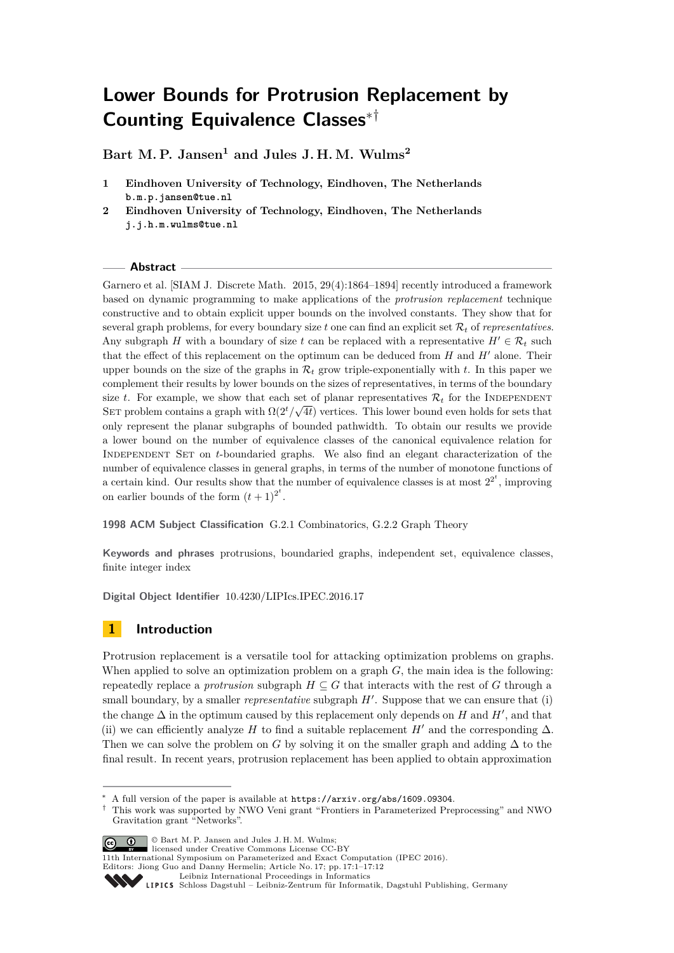# **Lower Bounds for Protrusion Replacement by Counting Equivalence Classes**∗†

**Bart M. P. Jansen<sup>1</sup> and Jules J. H. M. Wulms<sup>2</sup>**

- **1 Eindhoven University of Technology, Eindhoven, The Netherlands b.m.p.jansen@tue.nl**
- **2 Eindhoven University of Technology, Eindhoven, The Netherlands j.j.h.m.wulms@tue.nl**

## **Abstract**

Garnero et al. [SIAM J. Discrete Math. 2015, 29(4):1864–1894] recently introduced a framework based on dynamic programming to make applications of the *protrusion replacement* technique constructive and to obtain explicit upper bounds on the involved constants. They show that for several graph problems, for every boundary size *t* one can find an explicit set R*<sup>t</sup>* of *representatives*. Any subgraph *H* with a boundary of size *t* can be replaced with a representative  $H' \in \mathcal{R}_t$  such that the effect of this replacement on the optimum can be deduced from  $H$  and  $H'$  alone. Their upper bounds on the size of the graphs in  $\mathcal{R}_t$  grow triple-exponentially with  $t$ . In this paper we complement their results by lower bounds on the sizes of representatives, in terms of the boundary size *t*. For example, we show that each set of planar representatives  $\mathcal{R}_t$  for the INDEPENDENT SET problem contains a graph with  $\Omega(2^t/\sqrt{4t})$  vertices. This lower bound even holds for sets that only represent the planar subgraphs of bounded pathwidth. To obtain our results we provide a lower bound on the number of equivalence classes of the canonical equivalence relation for Independent Set on *t*-boundaried graphs. We also find an elegant characterization of the number of equivalence classes in general graphs, in terms of the number of monotone functions of a certain kind. Our results show that the number of equivalence classes is at most  $2^{2^t}$ , improving on earlier bounds of the form  $(t+1)^{2^t}$ .

**1998 ACM Subject Classification** G.2.1 Combinatorics, G.2.2 Graph Theory

**Keywords and phrases** protrusions, boundaried graphs, independent set, equivalence classes, finite integer index

**Digital Object Identifier** [10.4230/LIPIcs.IPEC.2016.17](http://dx.doi.org/10.4230/LIPIcs.IPEC.2016.17)

# **1 Introduction**

Protrusion replacement is a versatile tool for attacking optimization problems on graphs. When applied to solve an optimization problem on a graph *G*, the main idea is the following: repeatedly replace a *protrusion* subgraph  $H \subseteq G$  that interacts with the rest of G through a small boundary, by a smaller *representative* subgraph  $H'$ . Suppose that we can ensure that (i) the change  $\Delta$  in the optimum caused by this replacement only depends on *H* and *H'*, and that (ii) we can efficiently analyze *H* to find a suitable replacement *H'* and the corresponding  $\Delta$ . Then we can solve the problem on *G* by solving it on the smaller graph and adding  $\Delta$  to the final result. In recent years, protrusion replacement has been applied to obtain approximation

<sup>†</sup> This work was supported by NWO Veni grant "Frontiers in Parameterized Preprocessing" and NWO Gravitation grant "Networks".



© Bart M. P. Jansen and Jules J. H. M. Wulms; licensed under Creative Commons License CC-BY

A full version of the paper is available at  $https://arxiv.org/abs/1609.09304$ .

<sup>11</sup>th International Symposium on Parameterized and Exact Computation (IPEC 2016).

Editors: Jiong Guo and Danny Hermelin; Article No. 17; pp. 17:1–17[:12](#page-11-0)

[Leibniz International Proceedings in Informatics](http://www.dagstuhl.de/lipics/)

Leibniz international Floretungs in miximismos<br>
LIPICS [Schloss Dagstuhl – Leibniz-Zentrum für Informatik, Dagstuhl Publishing, Germany](http://www.dagstuhl.de)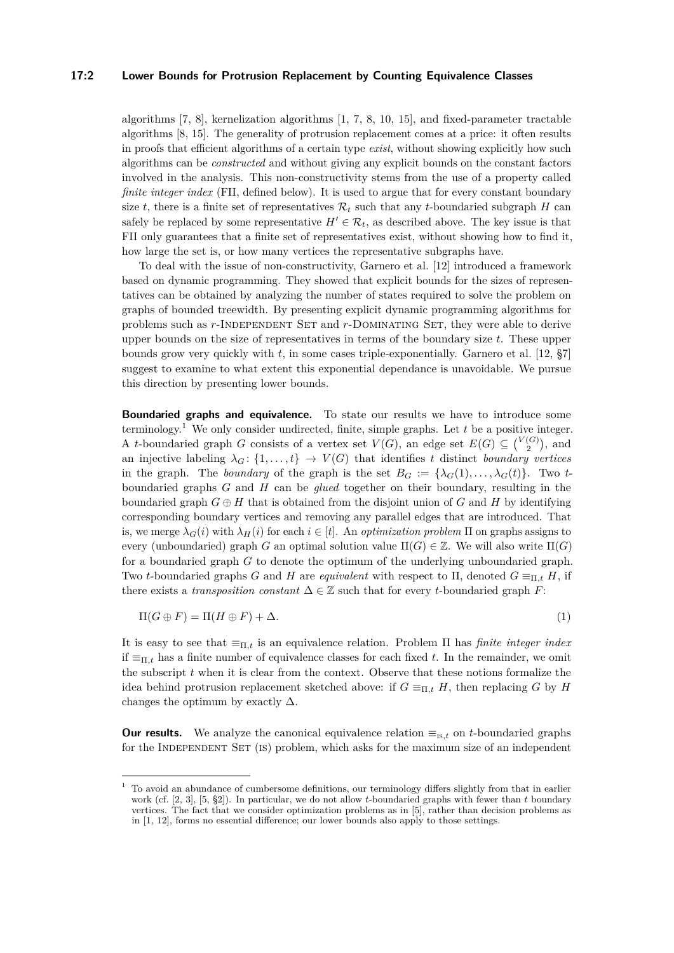#### **17:2 Lower Bounds for Protrusion Replacement by Counting Equivalence Classes**

algorithms [\[7,](#page-11-1) [8\]](#page-11-2), kernelization algorithms [\[1,](#page-11-3) [7,](#page-11-1) [8,](#page-11-2) [10,](#page-11-4) [15\]](#page-11-5), and fixed-parameter tractable algorithms [\[8,](#page-11-2) [15\]](#page-11-5). The generality of protrusion replacement comes at a price: it often results in proofs that efficient algorithms of a certain type *exist*, without showing explicitly how such algorithms can be *constructed* and without giving any explicit bounds on the constant factors involved in the analysis. This non-constructivity stems from the use of a property called *finite integer index* (FII, defined below). It is used to argue that for every constant boundary size *t*, there is a finite set of representatives  $\mathcal{R}_t$  such that any *t*-boundaried subgraph *H* can safely be replaced by some representative  $H' \in \mathcal{R}_t$ , as described above. The key issue is that FII only guarantees that a finite set of representatives exist, without showing how to find it, how large the set is, or how many vertices the representative subgraphs have.

To deal with the issue of non-constructivity, Garnero et al. [\[12\]](#page-11-6) introduced a framework based on dynamic programming. They showed that explicit bounds for the sizes of representatives can be obtained by analyzing the number of states required to solve the problem on graphs of bounded treewidth. By presenting explicit dynamic programming algorithms for problems such as *r*-INDEPENDENT SET and *r*-DOMINATING SET, they were able to derive upper bounds on the size of representatives in terms of the boundary size *t*. These upper bounds grow very quickly with *t*, in some cases triple-exponentially. Garnero et al. [\[12,](#page-11-6) §7] suggest to examine to what extent this exponential dependance is unavoidable. We pursue this direction by presenting lower bounds.

**Boundaried graphs and equivalence.** To state our results we have to introduce some terminology.<sup>[1](#page-1-0)</sup> We only consider undirected, finite, simple graphs. Let  $t$  be a positive integer. A *t*-boundaried graph *G* consists of a vertex set  $V(G)$ , an edge set  $E(G) \subseteq {V(G) \choose 2}$ , and an injective labeling  $\lambda_G: \{1, \ldots, t\} \to V(G)$  that identifies *t* distinct *boundary vertices* in the graph. The *boundary* of the graph is the set  $B_G := {\lambda_G(1), \ldots, \lambda_G(t)}$ . Two *t*boundaried graphs *G* and *H* can be *glued* together on their boundary, resulting in the boundaried graph  $G \oplus H$  that is obtained from the disjoint union of  $G$  and  $H$  by identifying corresponding boundary vertices and removing any parallel edges that are introduced. That is, we merge  $\lambda_G(i)$  with  $\lambda_H(i)$  for each  $i \in [t]$ . An *optimization problem*  $\Pi$  on graphs assigns to every (unboundaried) graph *G* an optimal solution value  $\Pi(G) \in \mathbb{Z}$ . We will also write  $\Pi(G)$ for a boundaried graph *G* to denote the optimum of the underlying unboundaried graph. Two *t*-boundaried graphs *G* and *H* are *equivalent* with respect to Π, denoted  $G \equiv_{\Pi,t} H$ , if there exists a *transposition constant*  $\Delta \in \mathbb{Z}$  such that for every *t*-boundaried graph *F*:

$$
\Pi(G \oplus F) = \Pi(H \oplus F) + \Delta. \tag{1}
$$

It is easy to see that  $\equiv_{\Pi,t}$  is an equivalence relation. Problem  $\Pi$  has *finite integer index* if  $\equiv_{\Pi,t}$  has a finite number of equivalence classes for each fixed t. In the remainder, we omit the subscript *t* when it is clear from the context. Observe that these notions formalize the idea behind protrusion replacement sketched above: if  $G \equiv_{\Pi,t} H$ , then replacing *G* by *H* changes the optimum by exactly  $\Delta$ .

**Our results.** We analyze the canonical equivalence relation  $\equiv_{\text{is},t}$  on *t*-boundaried graphs for the INDEPENDENT SET (IS) problem, which asks for the maximum size of an independent

<span id="page-1-0"></span><sup>1</sup> To avoid an abundance of cumbersome definitions, our terminology differs slightly from that in earlier work (cf. [\[2,](#page-11-7) [3\]](#page-11-8), [\[5,](#page-11-9) §2]). In particular, we do not allow *t*-boundaried graphs with fewer than *t* boundary vertices. The fact that we consider optimization problems as in [\[5\]](#page-11-9), rather than decision problems as in [\[1,](#page-11-3) [12\]](#page-11-6), forms no essential difference; our lower bounds also apply to those settings.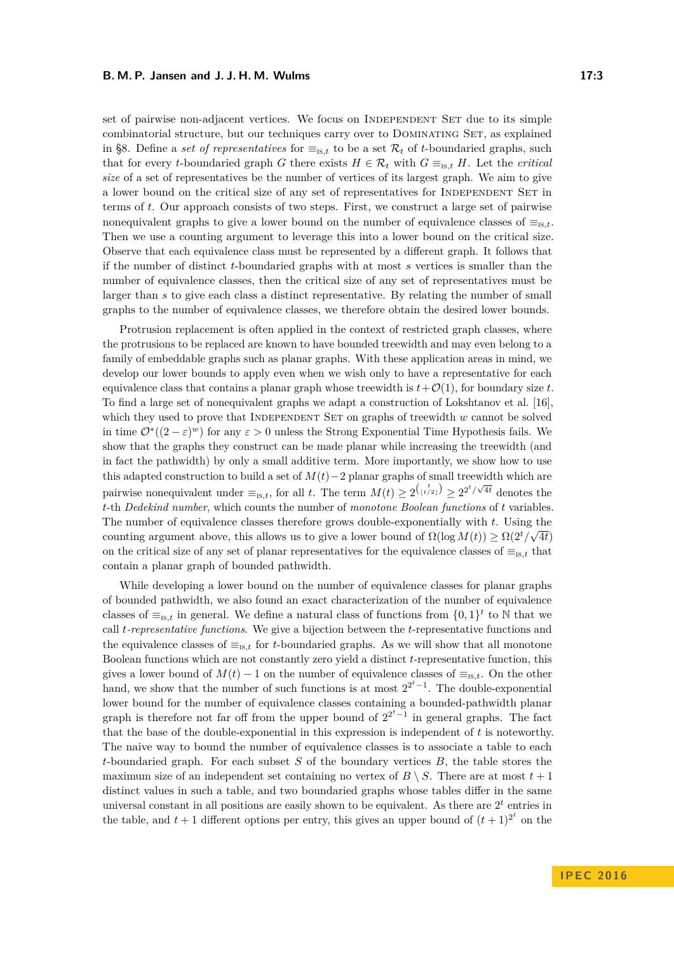set of pairwise non-adjacent vertices. We focus on INDEPENDENT SET due to its simple combinatorial structure, but our techniques carry over to DOMINATING SET, as explained in [§8.](#page-10-0) Define a *set of representatives* for  $\equiv_{\text{is }t}$  to be a set  $\mathcal{R}_t$  of *t*-boundaried graphs, such that for every *t*-boundaried graph *G* there exists  $H \in \mathcal{R}_t$  with  $G \equiv_{\text{IS},t} H$ . Let the *critical size* of a set of representatives be the number of vertices of its largest graph. We aim to give a lower bound on the critical size of any set of representatives for INDEPENDENT SET in terms of *t*. Our approach consists of two steps. First, we construct a large set of pairwise nonequivalent graphs to give a lower bound on the number of equivalence classes of  $\equiv_{\text{is},t}$ . Then we use a counting argument to leverage this into a lower bound on the critical size. Observe that each equivalence class must be represented by a different graph. It follows that if the number of distinct *t*-boundaried graphs with at most *s* vertices is smaller than the number of equivalence classes, then the critical size of any set of representatives must be larger than *s* to give each class a distinct representative. By relating the number of small graphs to the number of equivalence classes, we therefore obtain the desired lower bounds.

Protrusion replacement is often applied in the context of restricted graph classes, where the protrusions to be replaced are known to have bounded treewidth and may even belong to a family of embeddable graphs such as planar graphs. With these application areas in mind, we develop our lower bounds to apply even when we wish only to have a representative for each equivalence class that contains a planar graph whose treewidth is  $t + \mathcal{O}(1)$ , for boundary size *t*. To find a large set of nonequivalent graphs we adapt a construction of Lokshtanov et al. [\[16\]](#page-11-10), which they used to prove that INDEPENDENT SET on graphs of treewidth *w* cannot be solved in time  $\mathcal{O}^*((2-\varepsilon)^w)$  for any  $\varepsilon > 0$  unless the Strong Exponential Time Hypothesis fails. We show that the graphs they construct can be made planar while increasing the treewidth (and in fact the pathwidth) by only a small additive term. More importantly, we show how to use this adapted construction to build a set of *M*(*t*)−2 planar graphs of small treewidth which are pairwise nonequivalent under  $\equiv_{\text{Is},t}$ , for all *t*. The term  $M(t) \geq 2^{\binom{t}{\lfloor t/2 \rfloor}} \geq 2^{2^t/\sqrt{4t}}$  denotes the *t*-th *Dedekind number*, which counts the number of *monotone Boolean functions* of *t* variables. The number of equivalence classes therefore grows double-exponentially with  $t$ . Using the counting argument above, this allows us to give a lower bound of  $\Omega(\log M(t)) \geq \Omega(2^t/\sqrt{4t})$ on the critical size of any set of planar representatives for the equivalence classes of  $\equiv_{is}$  that contain a planar graph of bounded pathwidth.

While developing a lower bound on the number of equivalence classes for planar graphs of bounded pathwidth, we also found an exact characterization of the number of equivalence classes of  $\equiv_{\text{IS},t}$  in general. We define a natural class of functions from  $\{0,1\}^t$  to N that we call *t-representative functions*. We give a bijection between the *t*-representative functions and the equivalence classes of  $\equiv_{\text{is},t}$  for *t*-boundaried graphs. As we will show that all monotone Boolean functions which are not constantly zero yield a distinct *t*-representative function, this gives a lower bound of  $M(t) - 1$  on the number of equivalence classes of  $\equiv_{\text{is},t}$ . On the other hand, we show that the number of such functions is at most  $2^{2^t-1}$ . The double-exponential lower bound for the number of equivalence classes containing a bounded-pathwidth planar graph is therefore not far off from the upper bound of  $2^{2<sup>t</sup>-1}$  in general graphs. The fact that the base of the double-exponential in this expression is independent of *t* is noteworthy. The naive way to bound the number of equivalence classes is to associate a table to each *t*-boundaried graph. For each subset *S* of the boundary vertices *B*, the table stores the maximum size of an independent set containing no vertex of  $B \setminus S$ . There are at most  $t + 1$ distinct values in such a table, and two boundaried graphs whose tables differ in the same universal constant in all positions are easily shown to be equivalent. As there are  $2<sup>t</sup>$  entries in the table, and  $t + 1$  different options per entry, this gives an upper bound of  $(t + 1)^{2^t}$  on the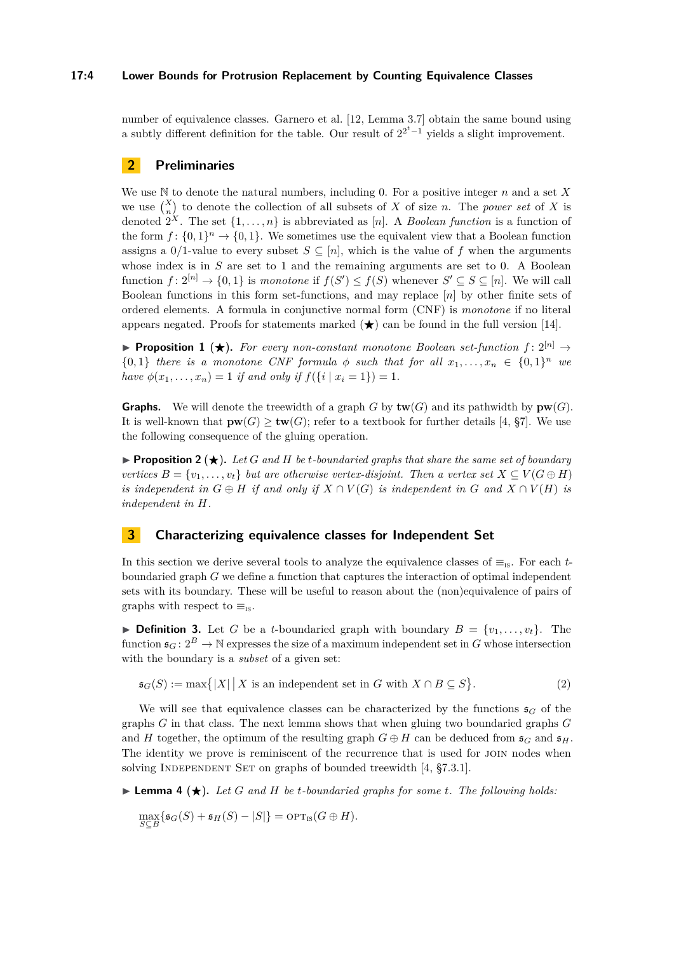## **17:4 Lower Bounds for Protrusion Replacement by Counting Equivalence Classes**

number of equivalence classes. Garnero et al. [\[12,](#page-11-6) Lemma 3.7] obtain the same bound using a subtly different definition for the table. Our result of  $2^{2^t-1}$  yields a slight improvement.

# **2 Preliminaries**

We use N to denote the natural numbers, including 0. For a positive integer *n* and a set *X* we use  $\binom{X}{n}$  to denote the collection of all subsets of *X* of size *n*. The *power set* of *X* is denoted  $2^X$ . The set  $\{1, \ldots, n\}$  is abbreviated as [*n*]. A *Boolean function* is a function of the form  $f: \{0,1\}^n \to \{0,1\}$ . We sometimes use the equivalent view that a Boolean function assigns a 0/1-value to every subset  $S \subseteq [n]$ , which is the value of f when the arguments whose index is in *S* are set to 1 and the remaining arguments are set to 0. A Boolean function  $f: 2^{[n]} \to \{0,1\}$  is *monotone* if  $f(S') \leq f(S)$  whenever  $S' \subseteq S \subseteq [n]$ . We will call Boolean functions in this form set-functions, and may replace [*n*] by other finite sets of ordered elements. A formula in conjunctive normal form (CNF) is *monotone* if no literal appears negated. Proofs for statements marked  $(\star)$  can be found in the full version [\[14\]](#page-11-11).

<span id="page-3-1"></span>**Proposition 1** ( $\star$ ). For every non-constant monotone Boolean set-function  $f: 2^{[n]} \to$  ${0,1}$  *there is a monotone CNF formula*  $\phi$  *such that for all*  $x_1, \ldots, x_n \in {0,1}^n$  *we have*  $\phi(x_1, \ldots, x_n) = 1$  *if and only if*  $f(\{i \mid x_i = 1\}) = 1$ *.* 

**Graphs.** We will denote the treewidth of a graph *G* by  $\mathbf{tw}(G)$  and its pathwidth by  $\mathbf{pw}(G)$ . It is well-known that  $\mathbf{pw}(G) > \mathbf{tw}(G)$ ; refer to a textbook for further details [\[4,](#page-11-12) §7]. We use the following consequence of the gluing operation.

**Proposition 2**  $\star$ . Let *G* and *H* be *t*-boundaried graphs that share the same set of boundary *vertices*  $B = \{v_1, \ldots, v_t\}$  *but are otherwise vertex-disjoint. Then a vertex set*  $X \subseteq V(G \oplus H)$ *is independent in*  $G \oplus H$  *if and only if*  $X \cap V(G)$  *is independent in*  $G$  *and*  $X \cap V(H)$  *is independent in H.*

# **3 Characterizing equivalence classes for Independent Set**

In this section we derive several tools to analyze the equivalence classes of  $\equiv_{\text{is}}$ . For each *t*boundaried graph *G* we define a function that captures the interaction of optimal independent sets with its boundary. These will be useful to reason about the (non)equivalence of pairs of graphs with respect to  $\equiv_{\text{is}}$ .

<span id="page-3-0"></span>**Definition 3.** Let *G* be a *t*-boundaried graph with boundary  $B = \{v_1, \ldots, v_t\}$ . The function  $\mathfrak{s}_G: 2^B \to \mathbb{N}$  expresses the size of a maximum independent set in *G* whose intersection with the boundary is a *subset* of a given set:

$$
\mathfrak{s}_G(S) := \max\{|X| \, | \, X \text{ is an independent set in } G \text{ with } X \cap B \subseteq S\}. \tag{2}
$$

We will see that equivalence classes can be characterized by the functions  $\mathfrak{s}_G$  of the graphs *G* in that class. The next lemma shows that when gluing two boundaried graphs *G* and *H* together, the optimum of the resulting graph  $G \oplus H$  can be deduced from  $\mathfrak{s}_G$  and  $\mathfrak{s}_H$ . The identity we prove is reminiscent of the recurrence that is used for JOIN nodes when solving INDEPENDENT SET on graphs of bounded treewidth [\[4,](#page-11-12) §7.3.1].

 $\blacktriangleright$  **Lemma 4** ( $\bigstar$ ). Let G and H be *t*-boundaried graphs for some *t*. The following holds:

 $\max_{S \subseteq B} \{ \mathfrak{s}_G(S) + \mathfrak{s}_H(S) - |S| \} = \text{OPT}_{\text{IS}}(G \oplus H).$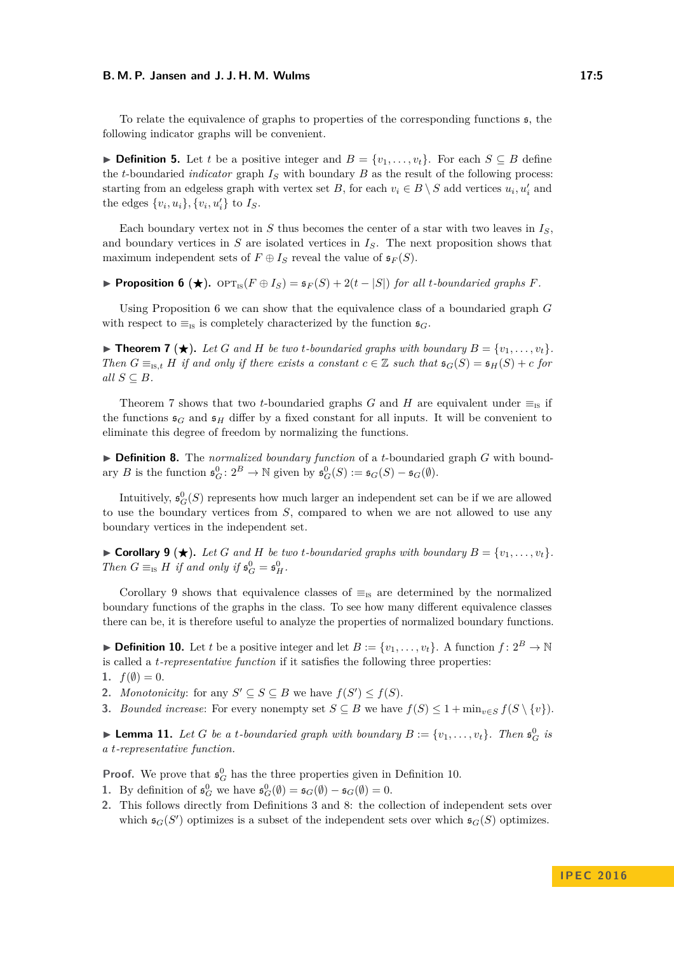#### **B. M. P. Jansen and J. J. H. M. Wulms 17:5**

To relate the equivalence of graphs to properties of the corresponding functions  $\epsilon$ , the following indicator graphs will be convenient.

<span id="page-4-8"></span>▶ **Definition 5.** Let *t* be a positive integer and  $B = \{v_1, \ldots, v_t\}$ . For each  $S \subseteq B$  define the *t*-boundaried *indicator* graph *I<sup>S</sup>* with boundary *B* as the result of the following process: starting from an edgeless graph with vertex set *B*, for each  $v_i \in B \setminus S$  add vertices  $u_i, u'_i$  and the edges  $\{v_i, u_i\}, \{v_i, u'_i\}$  to  $I_S$ .

Each boundary vertex not in  $S$  thus becomes the center of a star with two leaves in  $I_S$ , and boundary vertices in *S* are isolated vertices in *IS*. The next proposition shows that maximum independent sets of  $F \oplus I_S$  reveal the value of  $\mathfrak{s}_F(S)$ .

<span id="page-4-0"></span>**Proposition 6** ( $\star$ ).  $\text{OPT}_{\text{IS}}(F \oplus I_S) = \mathfrak{s}_F(S) + 2(t - |S|)$  *for all t-boundaried graphs F.* 

Using Proposition [6](#page-4-0) we can show that the equivalence class of a boundaried graph *G* with respect to  $\equiv_{\text{IS}}$  is completely characterized by the function  $\mathfrak{s}_G$ .

<span id="page-4-1"></span>**Find 7** ( $\star$ ). Let G and H be two *t*-boundaried graphs with boundary  $B = \{v_1, \ldots, v_t\}$ . *Then*  $G \equiv_{\text{fs},t} H$  *if and only if there exists a constant*  $c \in \mathbb{Z}$  *such that*  $\mathfrak{s}_G(S) = \mathfrak{s}_H(S) + c$  *for*  $all S \subseteq B$ *.* 

Theorem [7](#page-4-1) shows that two *t*-boundaried graphs *G* and *H* are equivalent under  $\equiv_{\text{is}}$  if the functions  $\mathfrak{s}_G$  and  $\mathfrak{s}_H$  differ by a fixed constant for all inputs. It will be convenient to eliminate this degree of freedom by normalizing the functions.

<span id="page-4-4"></span>▶ **Definition 8.** The *normalized boundary function* of a *t*-boundaried graph *G* with boundary *B* is the function  $\mathfrak{s}_G^0: 2^B \to \mathbb{N}$  given by  $\mathfrak{s}_G^0(S) := \mathfrak{s}_G(S) - \mathfrak{s}_G(\emptyset)$ .

Intuitively,  $\mathfrak{s}^0_G(S)$  represents how much larger an independent set can be if we are allowed to use the boundary vertices from *S*, compared to when we are not allowed to use any boundary vertices in the independent set.

<span id="page-4-2"></span> $\blacktriangleright$  **Corollary 9**  $(\star)$ . Let G and H be two *t*-boundaried graphs with boundary  $B = \{v_1, \ldots, v_t\}$ . *Then*  $G \equiv_{\text{IS}} H$  *if and only if*  $\mathfrak{s}_G^0 = \mathfrak{s}_H^0$ .

Corollary [9](#page-4-2) shows that equivalence classes of  $\equiv_{is}$  are determined by the normalized boundary functions of the graphs in the class. To see how many different equivalence classes there can be, it is therefore useful to analyze the properties of normalized boundary functions.

<span id="page-4-3"></span>**Definition 10.** Let *t* be a positive integer and let  $B := \{v_1, \ldots, v_t\}$ . A function  $f: 2^B \to \mathbb{N}$ is called a *t-representative function* if it satisfies the following three properties:

<span id="page-4-6"></span>1.  $f(\emptyset) = 0$ .

<span id="page-4-7"></span>2. *Monotonicity*: for any  $S' \subseteq S \subseteq B$  we have  $f(S') \leq f(S)$ .

**3.** *Bounded increase:* For every nonempty set  $S \subseteq B$  we have  $f(S) \leq 1 + \min_{v \in S} f(S \setminus \{v\})$ .

<span id="page-4-5"></span>**Example 11.** Let G be a *t*-boundaried graph with boundary  $B := \{v_1, \ldots, v_t\}$ . Then  $\mathfrak{s}_G^0$  is *a t-representative function.*

**Proof.** We prove that  $\mathfrak{s}^0_G$  has the three properties given in Definition [10.](#page-4-3)

**1.** By definition of  $\mathfrak{s}_G^0$  we have  $\mathfrak{s}_G^0(\emptyset) = \mathfrak{s}_G(\emptyset) - \mathfrak{s}_G(\emptyset) = 0$ .

**2.** This follows directly from Definitions [3](#page-3-0) and [8:](#page-4-4) the collection of independent sets over which  $\mathfrak{s}_G(S')$  optimizes is a subset of the independent sets over which  $\mathfrak{s}_G(S)$  optimizes.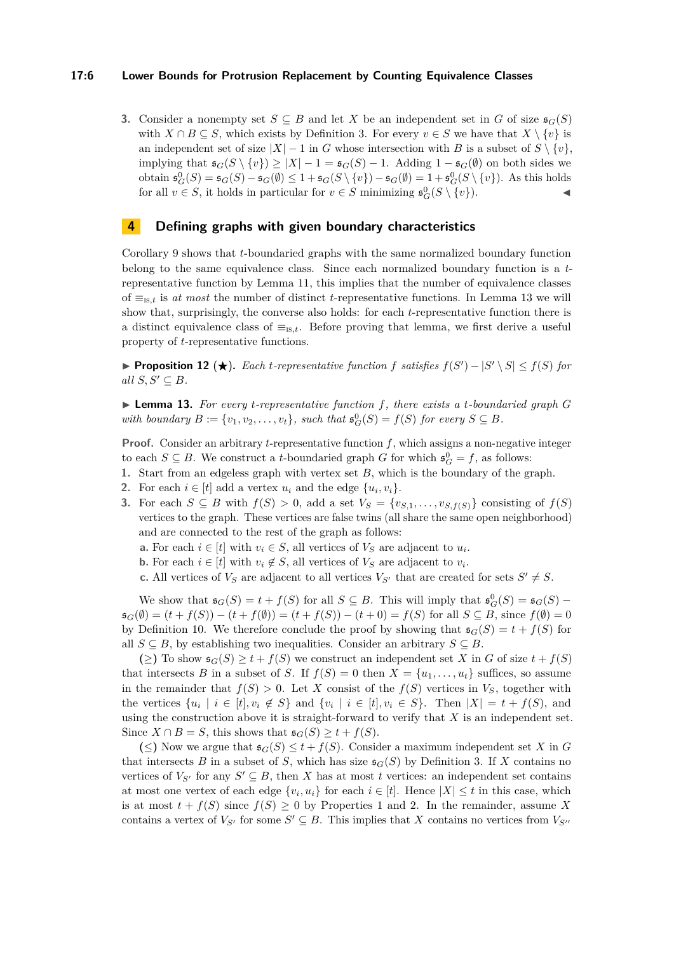#### **17:6 Lower Bounds for Protrusion Replacement by Counting Equivalence Classes**

**3.** Consider a nonempty set  $S \subseteq B$  and let *X* be an independent set in *G* of size  $\mathfrak{s}_G(S)$ with  $X \cap B \subseteq S$ , which exists by Definition [3.](#page-3-0) For every  $v \in S$  we have that  $X \setminus \{v\}$  is an independent set of size  $|X| - 1$  in *G* whose intersection with *B* is a subset of  $S \setminus \{v\}$ , implying that  $\mathfrak{s}_G(S \setminus \{v\}) \ge |X| - 1 = \mathfrak{s}_G(S) - 1$ . Adding  $1 - \mathfrak{s}_G(\emptyset)$  on both sides we obtain  $\mathfrak{s}_G^0(S) = \mathfrak{s}_G(S) - \mathfrak{s}_G(\emptyset) \leq 1 + \mathfrak{s}_G(S \setminus \{v\}) - \mathfrak{s}_G(\emptyset) = 1 + \mathfrak{s}_G^0(S \setminus \{v\})$ . As this holds for all  $v \in S$ , it holds in particular for  $v \in S$  minimizing  $\mathfrak{s}_G^0(S \setminus \{v\})$ .

# **4 Defining graphs with given boundary characteristics**

Corollary [9](#page-4-2) shows that *t*-boundaried graphs with the same normalized boundary function belong to the same equivalence class. Since each normalized boundary function is a *t*representative function by Lemma [11,](#page-4-5) this implies that the number of equivalence classes of ≡is*,t* is *at most* the number of distinct *t*-representative functions. In Lemma [13](#page-5-0) we will show that, surprisingly, the converse also holds: for each *t*-representative function there is a distinct equivalence class of  $\equiv_{\text{is},t}$ . Before proving that lemma, we first derive a useful property of *t*-representative functions.

<span id="page-5-1"></span>▶ **Proposition 12 (★).** Each *t*-representative function f satisfies  $f(S') - |S' \setminus S| \le f(S)$  for  $all S, S' \subseteq B$ *.* 

<span id="page-5-0"></span> $\blacktriangleright$  **Lemma 13.** For every *t*-representative function f, there exists a *t*-boundaried graph *G with boundary*  $B := \{v_1, v_2, \ldots, v_t\}$ , such that  $\mathfrak{s}_G^0(S) = f(S)$  for every  $S \subseteq B$ .

**Proof.** Consider an arbitrary *t*-representative function  $f$ , which assigns a non-negative integer to each  $S \subseteq B$ . We construct a *t*-boundaried graph *G* for which  $\mathfrak{s}_G^0 = f$ , as follows:

- **1.** Start from an edgeless graph with vertex set *B*, which is the boundary of the graph.
- **2.** For each  $i \in [t]$  add a vertex  $u_i$  and the edge  $\{u_i, v_i\}$ .
- **3.** For each *S* ⊆ *B* with  $f(S) > 0$ , add a set  $V_S = \{v_{S,1}, \ldots, v_{S,f(S)}\}$  consisting of  $f(S)$ vertices to the graph. These vertices are false twins (all share the same open neighborhood) and are connected to the rest of the graph as follows:
	- **a.** For each  $i \in [t]$  with  $v_i \in S$ , all vertices of  $V_S$  are adjacent to  $u_i$ .
	- **b.** For each  $i \in [t]$  with  $v_i \notin S$ , all vertices of  $V_S$  are adjacent to  $v_i$ .
	- **c.** All vertices of  $V_S$  are adjacent to all vertices  $V_{S'}$  that are created for sets  $S' \neq S$ .

We show that  $\mathfrak{s}_G(S) = t + f(S)$  for all  $S \subseteq B$ . This will imply that  $\mathfrak{s}_G^0(S) = \mathfrak{s}_G(S) - f(S)$  $\mathfrak{s}_G(\emptyset) = (t + f(S)) - (t + f(\emptyset)) = (t + f(S)) - (t + 0) = f(S)$  for all *S* ⊆ *B*, since  $f(\emptyset) = 0$ by Definition [10.](#page-4-3) We therefore conclude the proof by showing that  $\mathfrak{s}_G(S) = t + f(S)$  for all  $S \subseteq B$ , by establishing two inequalities. Consider an arbitrary  $S \subseteq B$ .

(≥) To show  $\mathfrak{s}_G(S)$  ≥  $t + f(S)$  we construct an independent set *X* in *G* of size  $t + f(S)$ that intersects *B* in a subset of *S*. If  $f(S) = 0$  then  $X = \{u_1, \ldots, u_t\}$  suffices, so assume in the remainder that  $f(S) > 0$ . Let X consist of the  $f(S)$  vertices in  $V_S$ , together with the vertices  $\{u_i \mid i \in [t], v_i \notin S\}$  and  $\{v_i \mid i \in [t], v_i \in S\}$ . Then  $|X| = t + f(S)$ , and using the construction above it is straight-forward to verify that *X* is an independent set. Since  $X \cap B = S$ , this shows that  $\mathfrak{s}_G(S) \ge t + f(S)$ .

**(**≤**)** Now we argue that s*G*(*S*) ≤ *t* + *f*(*S*). Consider a maximum independent set *X* in *G* that intersects *B* in a subset of *S*, which has size  $\mathfrak{s}_G(S)$  by Definition [3.](#page-3-0) If *X* contains no vertices of  $V_{S'}$  for any  $S' \subseteq B$ , then *X* has at most *t* vertices: an independent set contains at most one vertex of each edge  $\{v_i, u_i\}$  for each  $i \in [t]$ . Hence  $|X| \le t$  in this case, which is at most  $t + f(S)$  since  $f(S) \geq 0$  by Properties [1](#page-4-6) and [2.](#page-4-7) In the remainder, assume X contains a vertex of  $V_{S'}$  for some  $S' \subseteq B$ . This implies that *X* contains no vertices from  $V_{S''}$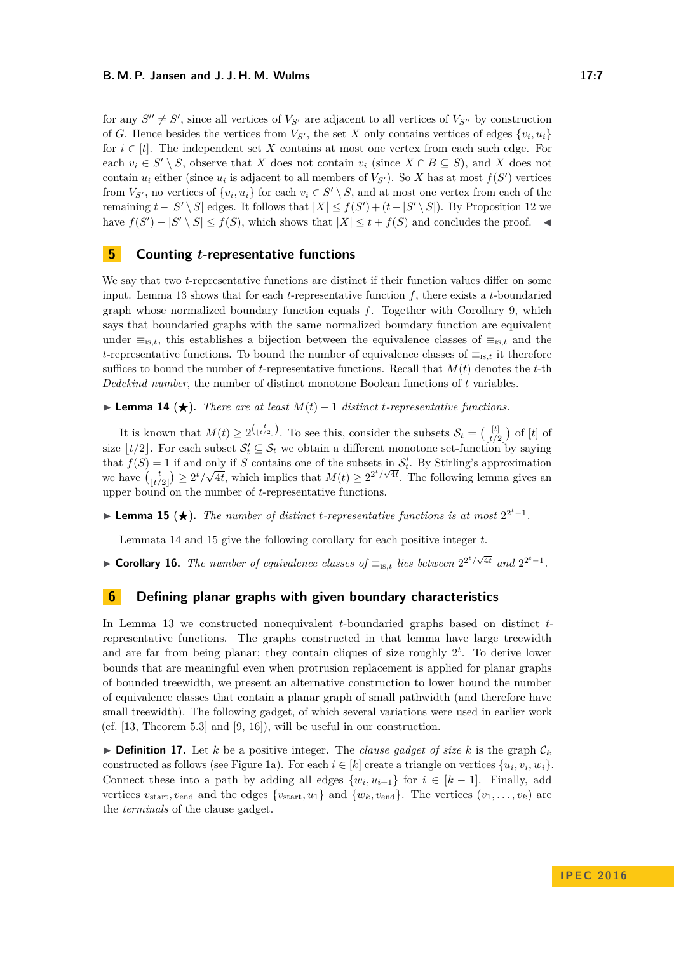for any  $S'' \neq S'$ , since all vertices of  $V_{S'}$  are adjacent to all vertices of  $V_{S''}$  by construction of *G*. Hence besides the vertices from  $V_{S'}$ , the set *X* only contains vertices of edges  $\{v_i, u_i\}$ for  $i \in [t]$ . The independent set X contains at most one vertex from each such edge. For each  $v_i \in S' \setminus S$ , observe that *X* does not contain  $v_i$  (since  $X \cap B \subseteq S$ ), and *X* does not contain  $u_i$  either (since  $u_i$  is adjacent to all members of  $V_{S'}$ ). So *X* has at most  $f(S')$  vertices from  $V_{S'}$ , no vertices of  $\{v_i, u_i\}$  for each  $v_i \in S' \setminus S$ , and at most one vertex from each of the remaining  $t - |S' \setminus S|$  edges. It follows that  $|X| \leq f(S') + (t - |S' \setminus S|)$ . By Proposition [12](#page-5-1) we have  $f(S') - |S' \setminus S| \leq f(S)$ , which shows that  $|X| \leq t + f(S)$  and concludes the proof.  $\blacktriangleleft$ 

# **5 Counting** *t***-representative functions**

We say that two *t*-representative functions are distinct if their function values differ on some input. Lemma [13](#page-5-0) shows that for each *t*-representative function *f*, there exists a *t*-boundaried graph whose normalized boundary function equals *f*. Together with Corollary [9,](#page-4-2) which says that boundaried graphs with the same normalized boundary function are equivalent under  $\equiv_{\text{is},t}$ , this establishes a bijection between the equivalence classes of  $\equiv_{\text{is},t}$  and the *t*-representative functions. To bound the number of equivalence classes of  $\equiv_{\text{is }t}$  it therefore suffices to bound the number of *t*-representative functions. Recall that  $M(t)$  denotes the *t*-th *Dedekind number*, the number of distinct monotone Boolean functions of *t* variables.

<span id="page-6-0"></span>**► Lemma 14 (★).** *There are at least*  $M(t) - 1$  *distinct t-representative functions.* 

It is known that  $M(t) \geq 2^{\binom{t}{\lfloor t/2 \rfloor}}$ . To see this, consider the subsets  $\mathcal{S}_t = \binom{[t]}{t/2}$  $\begin{bmatrix} \lfloor t \rfloor \\ \lfloor t/2 \rfloor \end{bmatrix}$  of  $[t]$  of size  $\lfloor t/2 \rfloor$ . For each subset  $\mathcal{S}'_t \subseteq \mathcal{S}_t$  we obtain a different monotone set-function by saying that  $f(S) = 1$  if and only if *S* contains one of the subsets in  $S_t'$ . By Stirling's approximation we have  $\binom{t}{\lfloor t/2 \rfloor} \geq 2^t/\sqrt{2}$  $\overline{4t}$ , which implies that  $M(t) \geq 2^{2^t/\sqrt{4t}}$ . The following lemma gives an upper bound on the number of *t*-representative functions.

<span id="page-6-1"></span>**► Lemma 15 (★).** The number of distinct *t*-representative functions is at most  $2^{2^t-1}$ .

Lemmata [14](#page-6-0) and [15](#page-6-1) give the following corollary for each positive integer *t*.

► **Corollary 16.** *The number of equivalence classes of*  $\equiv_{\text{Is},t}$  *lies between*  $2^{2^t/\sqrt{4t}}$  *and*  $2^{2^t-1}$ *.* 

# **6 Defining planar graphs with given boundary characteristics**

In Lemma [13](#page-5-0) we constructed nonequivalent *t*-boundaried graphs based on distinct *t*representative functions. The graphs constructed in that lemma have large treewidth and are far from being planar; they contain cliques of size roughly 2 *t* . To derive lower bounds that are meaningful even when protrusion replacement is applied for planar graphs of bounded treewidth, we present an alternative construction to lower bound the number of equivalence classes that contain a planar graph of small pathwidth (and therefore have small treewidth). The following gadget, of which several variations were used in earlier work (cf. [\[13,](#page-11-13) Theorem 5.3] and [\[9,](#page-11-14) [16\]](#page-11-10)), will be useful in our construction.

**If Definition 17.** Let *k* be a positive integer. The *clause gadget of size k* is the graph  $C_k$ constructed as follows (see Figure [1a\)](#page-7-0). For each  $i \in [k]$  create a triangle on vertices  $\{u_i, v_i, w_i\}$ . Connect these into a path by adding all edges  $\{w_i, u_{i+1}\}\$  for  $i \in [k-1]$ . Finally, add vertices  $v_{\text{start}}$ ,  $v_{\text{end}}$  and the edges  $\{v_{\text{start}}$ ,  $u_1\}$  and  $\{w_k, v_{\text{end}}\}$ . The vertices  $(v_1, \ldots, v_k)$  are the *terminals* of the clause gadget.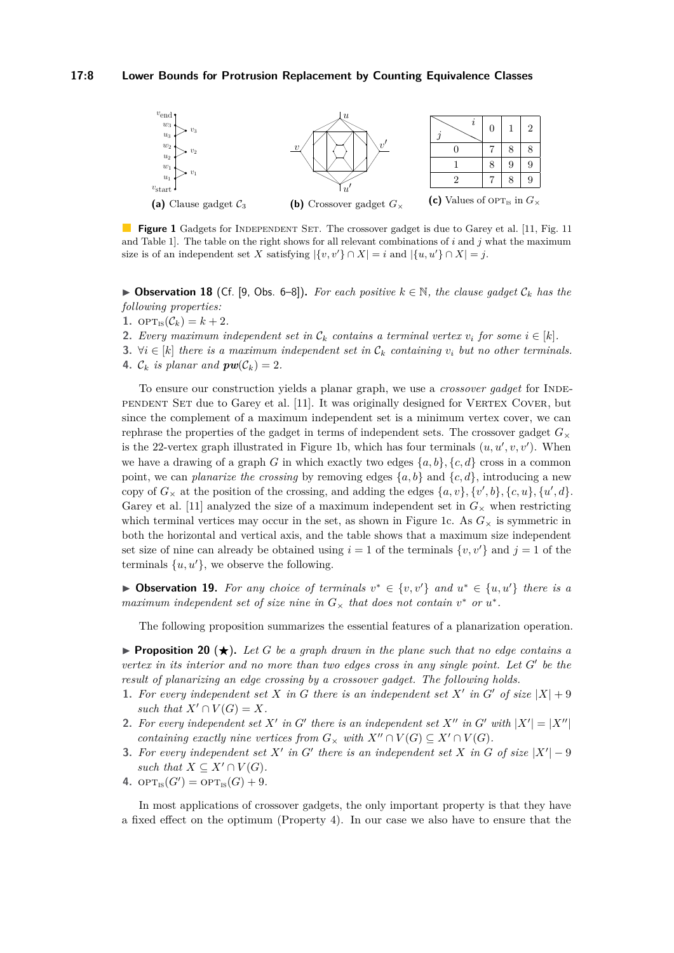<span id="page-7-0"></span>

**Figure 1** Gadgets for INDEPENDENT SET. The crossover gadget is due to Garey et al. [\[11,](#page-11-15) Fig. 11] and Table 1]. The table on the right shows for all relevant combinations of *i* and *j* what the maximum size is of an independent set *X* satisfying  $|\{v, v'\} \cap X| = i$  and  $|\{u, u'\} \cap X| = j$ .

**► Observation 18** (Cf. [\[9,](#page-11-14) Obs. 6–8]). For each positive  $k \in \mathbb{N}$ , the clause gadget  $C_k$  has the *following properties:*

- **1.**  $\text{OPT}_{\text{IS}}(\mathcal{C}_k) = k + 2.$
- **2.** *Every maximum independent set in*  $C_k$  *contains a terminal vertex*  $v_i$  *for some*  $i \in [k]$ *.*
- **3.** ∀ $i \in [k]$  *there is a maximum independent set in*  $\mathcal{C}_k$  *containing*  $v_i$  *but no other terminals.*
- **4.**  $\mathcal{C}_k$  *is planar and*  $\mathbf{pw}(\mathcal{C}_k) = 2$ *.*

To ensure our construction yields a planar graph, we use a *crossover gadget* for INDEpendent Set due to Garey et al. [\[11\]](#page-11-15). It was originally designed for Vertex Cover, but since the complement of a maximum independent set is a minimum vertex cover, we can rephrase the properties of the gadget in terms of independent sets. The crossover gadget  $G_{\times}$ is the 22-vertex graph illustrated in Figure [1b,](#page-7-0) which has four terminals  $(u, u', v, v')$ . When we have a drawing of a graph *G* in which exactly two edges  $\{a, b\}$ ,  $\{c, d\}$  cross in a common point, we can *planarize the crossing* by removing edges  $\{a, b\}$  and  $\{c, d\}$ , introducing a new copy of  $G_\times$  at the position of the crossing, and adding the edges  $\{a, v\}$ ,  $\{v', b\}$ ,  $\{c, u\}$ ,  $\{u', d\}$ . Garey et al. [\[11\]](#page-11-15) analyzed the size of a maximum independent set in  $G_{\times}$  when restricting which terminal vertices may occur in the set, as shown in Figure [1c.](#page-7-0) As  $G_{\times}$  is symmetric in both the horizontal and vertical axis, and the table shows that a maximum size independent set size of nine can already be obtained using  $i = 1$  of the terminals  $\{v, v'\}$  and  $j = 1$  of the terminals  $\{u, u'\}$ , we observe the following.

▶ Observation 19. For any choice of terminals  $v^* \in \{v, v'\}$  and  $u^* \in \{u, u'\}$  there is a *maximum independent set of size nine in*  $G_{\times}$  *that does not contain*  $v^*$  *or*  $u^*$ *.* 

The following proposition summarizes the essential features of a planarization operation.

<span id="page-7-4"></span>**Proposition 20**  $(\star)$ . Let G be a graph drawn in the plane such that no edge contains a *vertex in its interior and no more than two edges cross in any single point. Let*  $G'$  be the *result of planarizing an edge crossing by a crossover gadget. The following holds.*

- <span id="page-7-2"></span>**1.** For every independent set X in G there is an independent set X' in G' of size  $|X| + 9$ *such that*  $X' \cap V(G) = X$ *.*
- **2.** For every independent set X' in G' there is an independent set X" in G' with  $|X'| = |X''|$ *containing exactly nine vertices from*  $G_{\times}$  *with*  $X'' \cap V(G) \subseteq X' \cap V(G)$ .
- <span id="page-7-3"></span>**3.** For every independent set  $X'$  in  $G'$  there is an independent set  $X$  in  $G$  of size  $|X'| - 9$ *such that*  $X \subseteq X' \cap V(G)$ .
- <span id="page-7-1"></span>**4.**  $\text{OPT}_{\text{IS}}(G') = \text{OPT}_{\text{IS}}(G) + 9$ .

In most applications of crossover gadgets, the only important property is that they have a fixed effect on the optimum (Property [4\)](#page-7-1). In our case we also have to ensure that the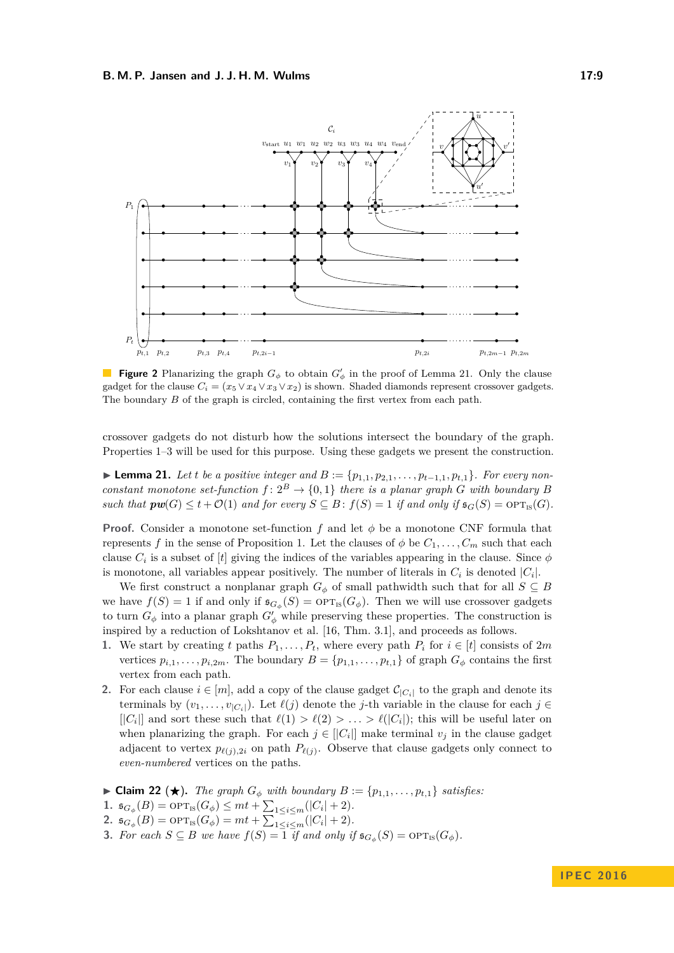<span id="page-8-2"></span>

**Figure 2** Planarizing the graph  $G_{\phi}$  to obtain  $G'_{\phi}$  in the proof of Lemma [21.](#page-8-0) Only the clause gadget for the clause  $C_i = (x_5 \vee x_4 \vee x_3 \vee x_2)$  is shown. Shaded diamonds represent crossover gadgets. The boundary *B* of the graph is circled, containing the first vertex from each path.

crossover gadgets do not disturb how the solutions intersect the boundary of the graph. Properties [1–](#page-7-2)[3](#page-7-3) will be used for this purpose. Using these gadgets we present the construction.

<span id="page-8-0"></span>► **Lemma 21.** Let *t* be a positive integer and  $B := \{p_{1,1}, p_{2,1}, \ldots, p_{t-1,1}, p_{t,1}\}$ . For every non*constant monotone set-function*  $f: 2^B \to \{0,1\}$  *there is a planar graph G with boundary B such that*  $\mathbf{pw}(G) \leq t + \mathcal{O}(1)$  *and for every*  $S \subseteq B$ :  $f(S) = 1$  *if and only if*  $\mathfrak{s}_G(S) = \text{OPT}_{\text{IS}}(G)$ *.* 

**Proof.** Consider a monotone set-function  $f$  and let  $\phi$  be a monotone CNF formula that represents *f* in the sense of Proposition [1.](#page-3-1) Let the clauses of  $\phi$  be  $C_1, \ldots, C_m$  such that each clause  $C_i$  is a subset of [*t*] giving the indices of the variables appearing in the clause. Since  $\phi$ is monotone, all variables appear positively. The number of literals in  $C_i$  is denoted  $|C_i|$ .

We first construct a nonplanar graph  $G_{\phi}$  of small pathwidth such that for all  $S \subseteq B$ we have  $f(S) = 1$  if and only if  $\mathfrak{s}_{G_{\phi}}(S) = \text{OPT}_{\text{IS}}(G_{\phi})$ . Then we will use crossover gadgets to turn  $G_{\phi}$  into a planar graph  $G'_{\phi}$  while preserving these properties. The construction is inspired by a reduction of Lokshtanov et al. [\[16,](#page-11-10) Thm. 3.1], and proceeds as follows.

- **1.** We start by creating t paths  $P_1, \ldots, P_t$ , where every path  $P_i$  for  $i \in [t]$  consists of 2*m* vertices  $p_{i,1}, \ldots, p_{i,2m}$ . The boundary  $B = \{p_{1,1}, \ldots, p_{t,1}\}$  of graph  $G_{\phi}$  contains the first vertex from each path.
- **2.** For each clause  $i \in [m]$ , add a copy of the clause gadget  $\mathcal{C}_{|C_i|}$  to the graph and denote its terminals by  $(v_1, \ldots, v_{|C_i|})$ . Let  $\ell(j)$  denote the *j*-th variable in the clause for each  $j \in$  $\lfloor |C_i| \rfloor$  and sort these such that  $\ell(1) > \ell(2) > \ldots > \ell(|C_i|)$ ; this will be useful later on when planarizing the graph. For each  $j \in [[C_i]]$  make terminal  $v_j$  in the clause gadget adjacent to vertex  $p_{\ell(j),2i}$  on path  $P_{\ell(j)}$ . Observe that clause gadgets only connect to *even-numbered* vertices on the paths.

<span id="page-8-1"></span>▶ **Claim 22 (★).** *The graph*  $G_{\phi}$  *with boundary*  $B := \{p_{1,1}, \ldots, p_{t,1}\}$  *satisfies:* 

- **1.**  $\mathfrak{s}_{G_{\phi}}(B) = \text{OPT}_{\text{IS}}(G_{\phi}) \leq mt + \sum_{1 \leq i \leq m}(|C_i| + 2).$
- <span id="page-8-3"></span>**2.**  $\mathfrak{s}_{G_{\phi}}(B) = \text{OPT}_{\text{IS}}(G_{\phi}) = mt + \sum_{1 \leq i \leq m} (-c_i + 2).$
- **3.** For each  $S \subseteq B$  we have  $f(S) = \overline{1}$  *if and only if*  $\mathfrak{sl}_G(S) = \text{OPT}_{\text{IS}}(G_{\phi})$ *.*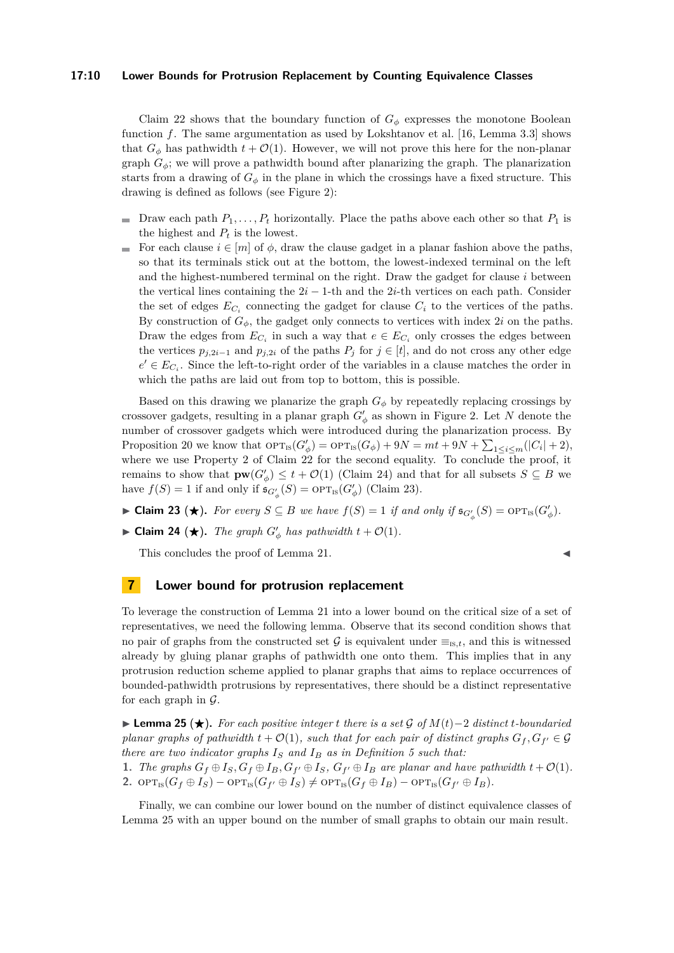#### **17:10 Lower Bounds for Protrusion Replacement by Counting Equivalence Classes**

Claim [22](#page-8-1) shows that the boundary function of  $G_{\phi}$  expresses the monotone Boolean function *f*. The same argumentation as used by Lokshtanov et al. [\[16,](#page-11-10) Lemma 3.3] shows that  $G_{\phi}$  has pathwidth  $t + \mathcal{O}(1)$ . However, we will not prove this here for the non-planar graph  $G_{\phi}$ ; we will prove a pathwidth bound after planarizing the graph. The planarization starts from a drawing of  $G_{\phi}$  in the plane in which the crossings have a fixed structure. This drawing is defined as follows (see Figure [2\)](#page-8-2):

- The Draw each path  $P_1, \ldots, P_t$  horizontally. Place the paths above each other so that  $P_1$  is the highest and  $P_t$  is the lowest.
- For each clause  $i \in [m]$  of  $\phi$ , draw the clause gadget in a planar fashion above the paths, so that its terminals stick out at the bottom, the lowest-indexed terminal on the left and the highest-numbered terminal on the right. Draw the gadget for clause *i* between the vertical lines containing the  $2i - 1$ -th and the  $2i$ -th vertices on each path. Consider the set of edges  $E_{C_i}$  connecting the gadget for clause  $C_i$  to the vertices of the paths. By construction of  $G_{\phi}$ , the gadget only connects to vertices with index 2*i* on the paths. Draw the edges from  $E_{C_i}$  in such a way that  $e \in E_{C_i}$  only crosses the edges between the vertices  $p_{j,2i-1}$  and  $p_{j,2i}$  of the paths  $P_j$  for  $j \in [t]$ , and do not cross any other edge  $e' \in E_{C_i}$ . Since the left-to-right order of the variables in a clause matches the order in which the paths are laid out from top to bottom, this is possible.

Based on this drawing we planarize the graph  $G_{\phi}$  by repeatedly replacing crossings by crossover gadgets, resulting in a planar graph  $G'_{\phi}$  as shown in Figure [2.](#page-8-2) Let *N* denote the number of crossover gadgets which were introduced during the planarization process. By Proposition [20](#page-7-4) we know that  $\text{OPT}_{\text{IS}}(G'_{\phi}) = \text{OPT}_{\text{IS}}(G_{\phi}) + 9N = mt + 9N + \sum_{1 \leq i \leq m} (|C_i| + 2),$ where we use Property [2](#page-8-3) of Claim [22](#page-8-1) for the second equality. To conclude the proof, it remains to show that  $\mathbf{pw}(G'_{\phi}) \leq t + \mathcal{O}(1)$  (Claim [24\)](#page-9-0) and that for all subsets  $S \subseteq B$  we have  $f(S) = 1$  if and only if  $\mathfrak{s}_{G'_{\phi}}(S) = \text{OPT}_{\text{IS}}(G'_{\phi})$  (Claim [23\)](#page-9-1).

- <span id="page-9-1"></span>► **Claim 23** (★). For every  $S \subseteq B$  we have  $f(S) = 1$  if and only if  $\mathfrak{sl}_{G'_{\phi}}(S) = \text{OPT}_{\text{IS}}(G'_{\phi})$ .
- <span id="page-9-0"></span>► Claim 24 (★). *The graph*  $G'_{\phi}$  has pathwidth  $t + \mathcal{O}(1)$ .

This concludes the proof of Lemma [21.](#page-8-0)

$$
\blacksquare
$$

## **7 Lower bound for protrusion replacement**

To leverage the construction of Lemma [21](#page-8-0) into a lower bound on the critical size of a set of representatives, we need the following lemma. Observe that its second condition shows that no pair of graphs from the constructed set G is equivalent under  $\equiv_{is,t}$ , and this is witnessed already by gluing planar graphs of pathwidth one onto them. This implies that in any protrusion reduction scheme applied to planar graphs that aims to replace occurrences of bounded-pathwidth protrusions by representatives, there should be a distinct representative for each graph in  $\mathcal{G}$ .

<span id="page-9-2"></span>**► Lemma 25 (★).** For each positive integer *t* there is a set G of  $M(t)-2$  distinct *t*-boundaried *planar graphs of pathwidth*  $t + \mathcal{O}(1)$ *, such that for each pair of distinct graphs*  $G_f, G_{f'} \in \mathcal{G}$ *there are two indicator graphs*  $I<sub>S</sub>$  *and*  $I<sub>B</sub>$  *as in Definition* [5](#page-4-8) *such that:* 

1. The graphs  $G_f \oplus I_S$ ,  $G_f \oplus I_B$ ,  $G_{f'} \oplus I_S$ ,  $G_{f'} \oplus I_B$  are planar and have pathwidth  $t + \mathcal{O}(1)$ . **2.**  $\text{OPT}_{\text{IS}}(G_f \oplus I_S) - \text{OPT}_{\text{IS}}(G_{f'} \oplus I_S) \neq \text{OPT}_{\text{IS}}(G_f \oplus I_B) - \text{OPT}_{\text{IS}}(G_{f'} \oplus I_B).$ 

Finally, we can combine our lower bound on the number of distinct equivalence classes of Lemma [25](#page-9-2) with an upper bound on the number of small graphs to obtain our main result.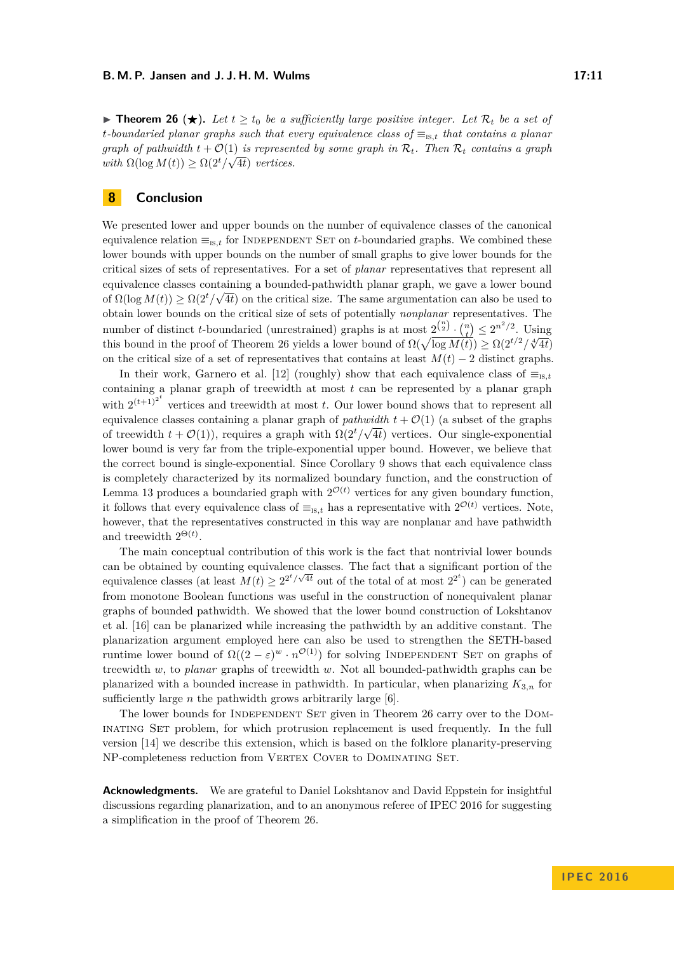<span id="page-10-1"></span>**► Theorem 26** (★). Let  $t \geq t_0$  be a sufficiently large positive integer. Let  $\mathcal{R}_t$  be a set of *t-boundaried planar graphs such that every equivalence class of* ≡is*,t that contains a planar graph of pathwidth*  $t + \mathcal{O}(1)$  *is represented by some graph in*  $\mathcal{R}_t$ *. Then*  $\mathcal{R}_t$  *contains a graph with*  $\Omega(\log M(t)) \geq \Omega(2^t/\sqrt{4t})$  *vertices.* 

# <span id="page-10-0"></span>**8 Conclusion**

We presented lower and upper bounds on the number of equivalence classes of the canonical equivalence relation  $\equiv_{\text{is},t}$  for INDEPENDENT SET on *t*-boundaried graphs. We combined these lower bounds with upper bounds on the number of small graphs to give lower bounds for the critical sizes of sets of representatives. For a set of *planar* representatives that represent all equivalence classes containing a bounded-pathwidth planar graph, we gave a lower bound of  $\Omega(\log M(t)) \geq \Omega(2^t/\sqrt{4t})$  on the critical size. The same argumentation can also be used to obtain lower bounds on the critical size of sets of potentially *nonplanar* representatives. The number of distinct *t*-boundaried (unrestrained) graphs is at most  $2^{\binom{n}{2}} \cdot \binom{n}{t} \leq 2^{n^2/2}$ . Using this bound in the proof of Theorem [26](#page-10-1) yields a lower bound of  $\Omega(\sqrt{\log M(t)}) \geq \Omega(2^{t/2}/\sqrt[4]{4t})$ on the critical size of a set of representatives that contains at least  $M(t) - 2$  distinct graphs.

In their work, Garnero et al. [\[12\]](#page-11-6) (roughly) show that each equivalence class of  $\equiv_{\text{is},t}$ containing a planar graph of treewidth at most *t* can be represented by a planar graph with  $2^{(t+1)^{2^t}}$  vertices and treewidth at most *t*. Our lower bound shows that to represent all equivalence classes containing a planar graph of *pathwidth*  $t + \mathcal{O}(1)$  (a subset of the graphs of treewidth  $t + \mathcal{O}(1)$ , requires a graph with  $\Omega(2^t/\sqrt{4t})$  vertices. Our single-exponential lower bound is very far from the triple-exponential upper bound. However, we believe that the correct bound is single-exponential. Since Corollary [9](#page-4-2) shows that each equivalence class is completely characterized by its normalized boundary function, and the construction of Lemma [13](#page-5-0) produces a boundaried graph with  $2^{\mathcal{O}(t)}$  vertices for any given boundary function, it follows that every equivalence class of  $\equiv_{\text{is},t}$  has a representative with  $2^{\mathcal{O}(t)}$  vertices. Note, however, that the representatives constructed in this way are nonplanar and have pathwidth and treewidth  $2^{\Theta(t)}$ .

The main conceptual contribution of this work is the fact that nontrivial lower bounds can be obtained by counting equivalence classes. The fact that a significant portion of the equivalence classes (at least  $M(t) \geq 2^{2^t/\sqrt{4t}}$  out of the total of at most  $2^{2^t}$ ) can be generated from monotone Boolean functions was useful in the construction of nonequivalent planar graphs of bounded pathwidth. We showed that the lower bound construction of Lokshtanov et al. [\[16\]](#page-11-10) can be planarized while increasing the pathwidth by an additive constant. The planarization argument employed here can also be used to strengthen the SETH-based runtime lower bound of  $\Omega((2-\varepsilon)^w \cdot n^{\mathcal{O}(1)})$  for solving INDEPENDENT SET on graphs of treewidth *w*, to *planar* graphs of treewidth *w*. Not all bounded-pathwidth graphs can be planarized with a bounded increase in pathwidth. In particular, when planarizing  $K_{3,n}$  for sufficiently large *n* the pathwidth grows arbitrarily large [\[6\]](#page-11-16).

The lower bounds for INDEPENDENT SET given in Theorem [26](#page-10-1) carry over to the DOMinating Set problem, for which protrusion replacement is used frequently. In the full version [\[14\]](#page-11-11) we describe this extension, which is based on the folklore planarity-preserving NP-completeness reduction from VERTEX COVER to DOMINATING SET.

**Acknowledgments.** We are grateful to Daniel Lokshtanov and David Eppstein for insightful discussions regarding planarization, and to an anonymous referee of IPEC 2016 for suggesting a simplification in the proof of Theorem [26.](#page-10-1)